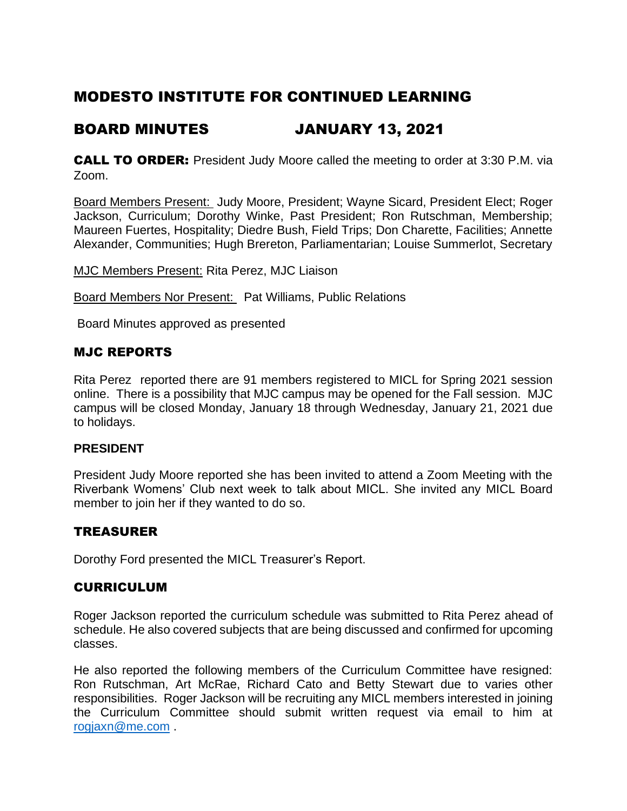# MODESTO INSTITUTE FOR CONTINUED LEARNING

## BOARD MINUTES JANUARY 13, 2021

CALL TO ORDER: President Judy Moore called the meeting to order at 3:30 P.M. via Zoom.

Board Members Present: Judy Moore, President; Wayne Sicard, President Elect; Roger Jackson, Curriculum; Dorothy Winke, Past President; Ron Rutschman, Membership; Maureen Fuertes, Hospitality; Diedre Bush, Field Trips; Don Charette, Facilities; Annette Alexander, Communities; Hugh Brereton, Parliamentarian; Louise Summerlot, Secretary

MJC Members Present: Rita Perez, MJC Liaison

**Board Members Nor Present:** Pat Williams, Public Relations

Board Minutes approved as presented

## MJC REPORTS

Rita Perez reported there are 91 members registered to MICL for Spring 2021 session online. There is a possibility that MJC campus may be opened for the Fall session. MJC campus will be closed Monday, January 18 through Wednesday, January 21, 2021 due to holidays.

## **PRESIDENT**

President Judy Moore reported she has been invited to attend a Zoom Meeting with the Riverbank Womens' Club next week to talk about MICL. She invited any MICL Board member to join her if they wanted to do so.

## TREASURER

Dorothy Ford presented the MICL Treasurer's Report.

## CURRICULUM

Roger Jackson reported the curriculum schedule was submitted to Rita Perez ahead of schedule. He also covered subjects that are being discussed and confirmed for upcoming classes.

He also reported the following members of the Curriculum Committee have resigned: Ron Rutschman, Art McRae, Richard Cato and Betty Stewart due to varies other responsibilities. Roger Jackson will be recruiting any MICL members interested in joining the Curriculum Committee should submit written request via email to him at [rogjaxn@me.com](mailto:rogjaxn@me.com) .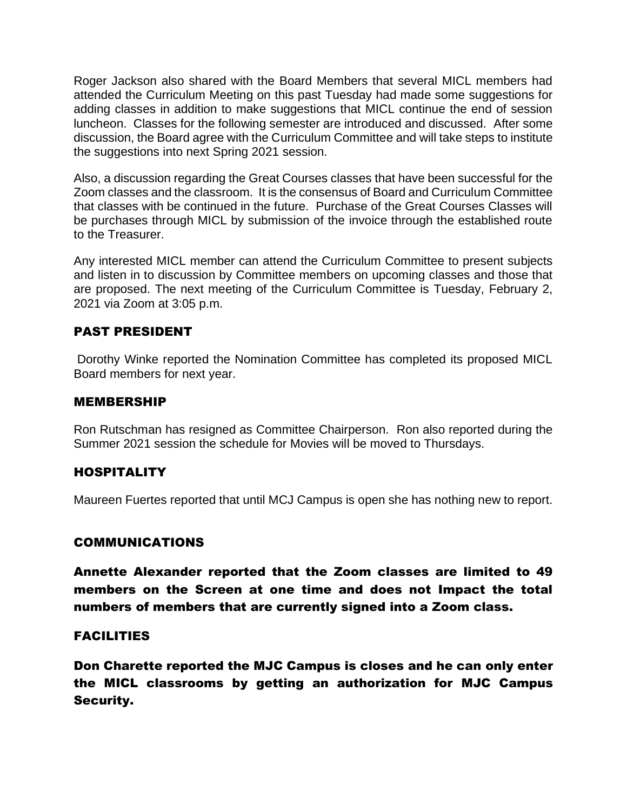Roger Jackson also shared with the Board Members that several MICL members had attended the Curriculum Meeting on this past Tuesday had made some suggestions for adding classes in addition to make suggestions that MICL continue the end of session luncheon. Classes for the following semester are introduced and discussed. After some discussion, the Board agree with the Curriculum Committee and will take steps to institute the suggestions into next Spring 2021 session.

Also, a discussion regarding the Great Courses classes that have been successful for the Zoom classes and the classroom. It is the consensus of Board and Curriculum Committee that classes with be continued in the future. Purchase of the Great Courses Classes will be purchases through MICL by submission of the invoice through the established route to the Treasurer.

Any interested MICL member can attend the Curriculum Committee to present subjects and listen in to discussion by Committee members on upcoming classes and those that are proposed. The next meeting of the Curriculum Committee is Tuesday, February 2, 2021 via Zoom at 3:05 p.m.

## PAST PRESIDENT

Dorothy Winke reported the Nomination Committee has completed its proposed MICL Board members for next year.

#### MEMBERSHIP

Ron Rutschman has resigned as Committee Chairperson. Ron also reported during the Summer 2021 session the schedule for Movies will be moved to Thursdays.

## HOSPITALITY

Maureen Fuertes reported that until MCJ Campus is open she has nothing new to report.

## COMMUNICATIONS

Annette Alexander reported that the Zoom classes are limited to 49 members on the Screen at one time and does not Impact the total numbers of members that are currently signed into a Zoom class.

## **FACILITIES**

Don Charette reported the MJC Campus is closes and he can only enter the MICL classrooms by getting an authorization for MJC Campus Security.